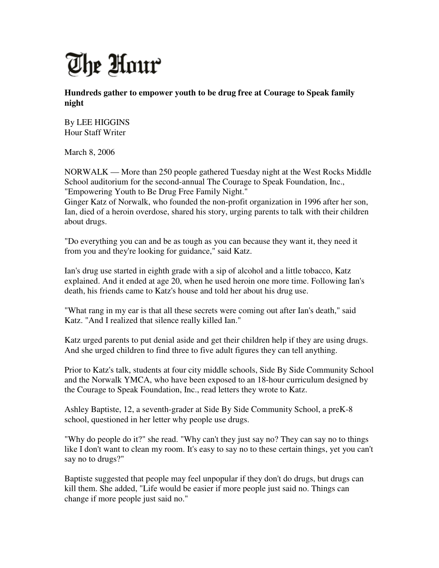

**Hundreds gather to empower youth to be drug free at Courage to Speak family night** 

By LEE HIGGINS Hour Staff Writer

March 8, 2006

NORWALK — More than 250 people gathered Tuesday night at the West Rocks Middle School auditorium for the second-annual The Courage to Speak Foundation, Inc., "Empowering Youth to Be Drug Free Family Night."

Ginger Katz of Norwalk, who founded the non-profit organization in 1996 after her son, Ian, died of a heroin overdose, shared his story, urging parents to talk with their children about drugs.

"Do everything you can and be as tough as you can because they want it, they need it from you and they're looking for guidance," said Katz.

Ian's drug use started in eighth grade with a sip of alcohol and a little tobacco, Katz explained. And it ended at age 20, when he used heroin one more time. Following Ian's death, his friends came to Katz's house and told her about his drug use.

"What rang in my ear is that all these secrets were coming out after Ian's death," said Katz. "And I realized that silence really killed Ian."

Katz urged parents to put denial aside and get their children help if they are using drugs. And she urged children to find three to five adult figures they can tell anything.

Prior to Katz's talk, students at four city middle schools, Side By Side Community School and the Norwalk YMCA, who have been exposed to an 18-hour curriculum designed by the Courage to Speak Foundation, Inc., read letters they wrote to Katz.

Ashley Baptiste, 12, a seventh-grader at Side By Side Community School, a preK-8 school, questioned in her letter why people use drugs.

"Why do people do it?" she read. "Why can't they just say no? They can say no to things like I don't want to clean my room. It's easy to say no to these certain things, yet you can't say no to drugs?"

Baptiste suggested that people may feel unpopular if they don't do drugs, but drugs can kill them. She added, "Life would be easier if more people just said no. Things can change if more people just said no."